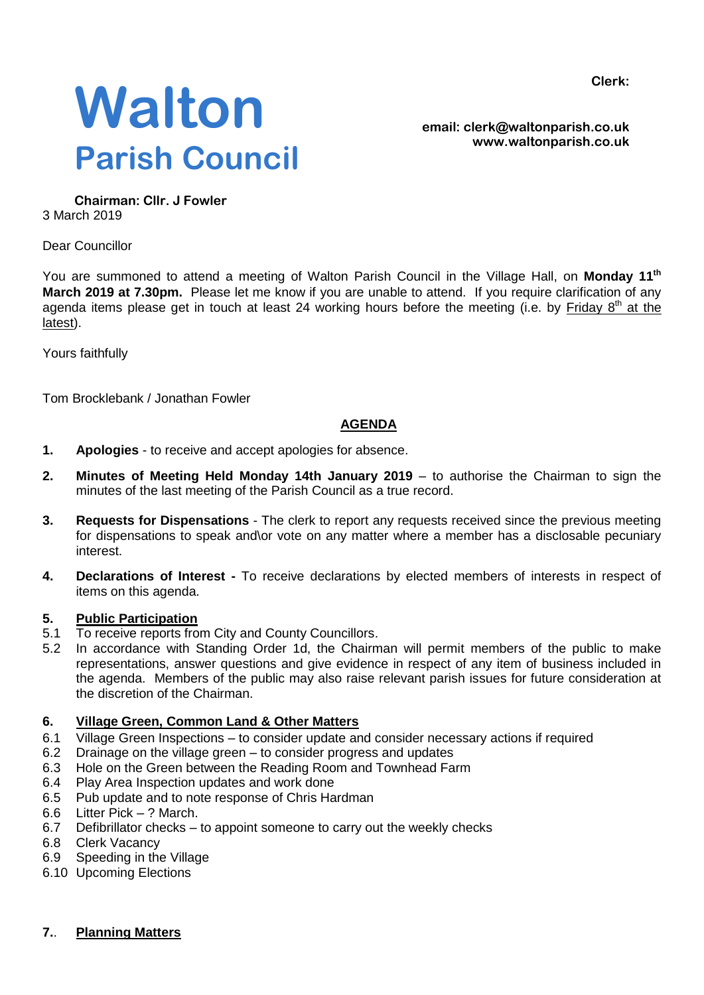**Clerk:**



**email: clerk@waltonparish.co.uk www.waltonparish.co.uk**

**Chairman: Cllr. J Fowler** 3 March 2019

Dear Councillor

You are summoned to attend a meeting of Walton Parish Council in the Village Hall, on Monday 11<sup>th</sup> **March 2019 at 7.30pm.** Please let me know if you are unable to attend. If you require clarification of any agenda items please get in touch at least 24 working hours before the meeting (i.e. by Friday 8<sup>th</sup> at the latest).

Yours faithfully

Tom Brocklebank / Jonathan Fowler

# **AGENDA**

- **1. Apologies** to receive and accept apologies for absence.
- **2. Minutes of Meeting Held Monday 14th January 2019** to authorise the Chairman to sign the minutes of the last meeting of the Parish Council as a true record.
- **3. Requests for Dispensations**  The clerk to report any requests received since the previous meeting for dispensations to speak and\or vote on any matter where a member has a disclosable pecuniary interest.
- **4. Declarations of Interest -** To receive declarations by elected members of interests in respect of items on this agenda.

#### **5. Public Participation**

- 5.1 To receive reports from City and County Councillors.
- 5.2 In accordance with Standing Order 1d, the Chairman will permit members of the public to make representations, answer questions and give evidence in respect of any item of business included in the agenda. Members of the public may also raise relevant parish issues for future consideration at the discretion of the Chairman.

## **6. Village Green, Common Land & Other Matters**

- 6.1 Village Green Inspections to consider update and consider necessary actions if required
- 6.2 Drainage on the village green to consider progress and updates
- 6.3 Hole on the Green between the Reading Room and Townhead Farm
- 6.4 Play Area Inspection updates and work done
- 6.5 Pub update and to note response of Chris Hardman
- 6.6 Litter Pick ? March.
- 6.7 Defibrillator checks to appoint someone to carry out the weekly checks
- 6.8 Clerk Vacancy
- 6.9 Speeding in the Village
- 6.10 Upcoming Elections

## **7.**. **Planning Matters**